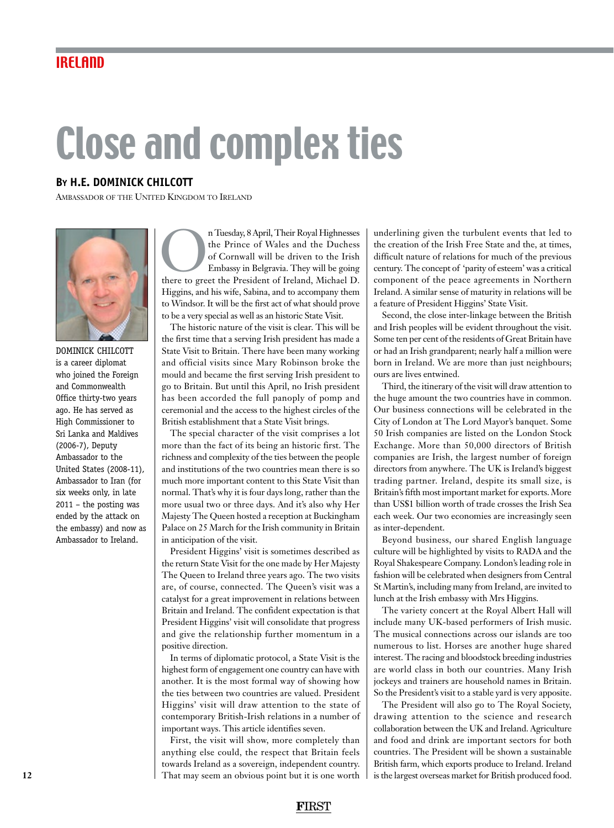## Close and complex ties

## **By H.E. DOMINICK CHILCOTT**

Ambassador of the United Kingdom to Ireland



DOMINICK CHILCOTT is a career diplomat who joined the Foreign and Commonwealth Office thirty-two years ago. He has served as High Commissioner to Sri Lanka and Maldives (2006-7), Deputy Ambassador to the United States (2008-11), Ambassador to Iran (for six weeks only, in late 2011 – the posting was ended by the attack on the embassy) and now as Ambassador to Ireland.

n Tuesday, 8 April, Their Royal Highnesses<br>the Prince of Wales and the Duchess<br>of Cornwall will be driven to the Irish<br>Embassy in Belgravia. They will be going<br>there to greet the President of Ireland, Michael D. the Prince of Wales and the Duchess of Cornwall will be driven to the Irish Embassy in Belgravia. They will be going Higgins, and his wife, Sabina, and to accompany them to Windsor. It will be the first act of what should prove to be a very special as well as an historic State Visit.

The historic nature of the visit is clear. This will be the first time that a serving Irish president has made a State Visit to Britain. There have been many working and official visits since Mary Robinson broke the mould and became the first serving Irish president to go to Britain. But until this April, no Irish president has been accorded the full panoply of pomp and ceremonial and the access to the highest circles of the British establishment that a State Visit brings.

The special character of the visit comprises a lot more than the fact of its being an historic first. The richness and complexity of the ties between the people and institutions of the two countries mean there is so much more important content to this State Visit than normal. That's why it is four days long, rather than the more usual two or three days. And it's also why Her Majesty The Queen hosted a reception at Buckingham Palace on 25 March for the Irish community in Britain in anticipation of the visit.

President Higgins' visit is sometimes described as the return State Visit for the one made by Her Majesty The Queen to Ireland three years ago. The two visits are, of course, connected. The Queen's visit was a catalyst for a great improvement in relations between Britain and Ireland. The confident expectation is that President Higgins' visit will consolidate that progress and give the relationship further momentum in a positive direction.

In terms of diplomatic protocol, a State Visit is the highest form of engagement one country can have with another. It is the most formal way of showing how the ties between two countries are valued. President Higgins' visit will draw attention to the state of contemporary British-Irish relations in a number of important ways. This article identifies seven.

First, the visit will show, more completely than anything else could, the respect that Britain feels towards Ireland as a sovereign, independent country. That may seem an obvious point but it is one worth

underlining given the turbulent events that led to the creation of the Irish Free State and the, at times, difficult nature of relations for much of the previous century. The concept of 'parity of esteem' was a critical component of the peace agreements in Northern Ireland. A similar sense of maturity in relations will be a feature of President Higgins' State Visit.

Second, the close inter-linkage between the British and Irish peoples will be evident throughout the visit. Some ten per cent of the residents of Great Britain have or had an Irish grandparent; nearly half a million were born in Ireland. We are more than just neighbours; ours are lives entwined.

Third, the itinerary of the visit will draw attention to the huge amount the two countries have in common. Our business connections will be celebrated in the City of London at The Lord Mayor's banquet. Some 50 Irish companies are listed on the London Stock Exchange. More than 50,000 directors of British companies are Irish, the largest number of foreign directors from anywhere. The UK is Ireland's biggest trading partner. Ireland, despite its small size, is Britain's fifth most important market for exports. More than US\$1 billion worth of trade crosses the Irish Sea each week. Our two economies are increasingly seen as inter-dependent.

Beyond business, our shared English language culture will be highlighted by visits to RADA and the Royal Shakespeare Company. London's leading role in fashion will be celebrated when designers from Central St Martin's, including many from Ireland, are invited to lunch at the Irish embassy with Mrs Higgins.

The variety concert at the Royal Albert Hall will include many UK-based performers of Irish music. The musical connections across our islands are too numerous to list. Horses are another huge shared interest. The racing and bloodstock breeding industries are world class in both our countries. Many Irish jockeys and trainers are household names in Britain. So the President's visit to a stable yard is very apposite.

The President will also go to The Royal Society, drawing attention to the science and research collaboration between the UK and Ireland. Agriculture and food and drink are important sectors for both countries. The President will be shown a sustainable British farm, which exports produce to Ireland. Ireland is the largest overseas market for British produced food.